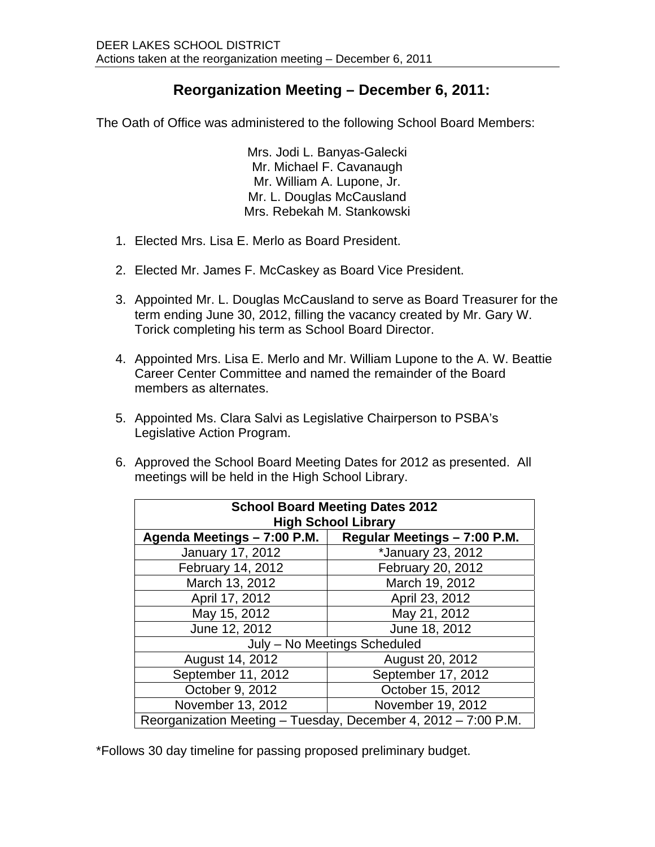## **Reorganization Meeting – December 6, 2011:**

The Oath of Office was administered to the following School Board Members:

Mrs. Jodi L. Banyas-Galecki Mr. Michael F. Cavanaugh Mr. William A. Lupone, Jr. Mr. L. Douglas McCausland Mrs. Rebekah M. Stankowski

- 1. Elected Mrs. Lisa E. Merlo as Board President.
- 2. Elected Mr. James F. McCaskey as Board Vice President.
- 3. Appointed Mr. L. Douglas McCausland to serve as Board Treasurer for the term ending June 30, 2012, filling the vacancy created by Mr. Gary W. Torick completing his term as School Board Director.
- 4. Appointed Mrs. Lisa E. Merlo and Mr. William Lupone to the A. W. Beattie Career Center Committee and named the remainder of the Board members as alternates.
- 5. Appointed Ms. Clara Salvi as Legislative Chairperson to PSBA's Legislative Action Program.
- 6. Approved the School Board Meeting Dates for 2012 as presented. All meetings will be held in the High School Library.

| <b>School Board Meeting Dates 2012</b><br><b>High School Library</b> |                              |
|----------------------------------------------------------------------|------------------------------|
| Agenda Meetings - 7:00 P.M.                                          | Regular Meetings - 7:00 P.M. |
| January 17, 2012                                                     | *January 23, 2012            |
| February 14, 2012                                                    | February 20, 2012            |
| March 13, 2012                                                       | March 19, 2012               |
| April 17, 2012                                                       | April 23, 2012               |
| May 15, 2012                                                         | May 21, 2012                 |
| June 12, 2012                                                        | June 18, 2012                |
| July - No Meetings Scheduled                                         |                              |
| August 14, 2012                                                      | August 20, 2012              |
| September 11, 2012                                                   | September 17, 2012           |
| October 9, 2012                                                      | October 15, 2012             |
| November 13, 2012                                                    | November 19, 2012            |
| Reorganization Meeting – Tuesday, December 4, 2012 – 7:00 P.M.       |                              |

\*Follows 30 day timeline for passing proposed preliminary budget.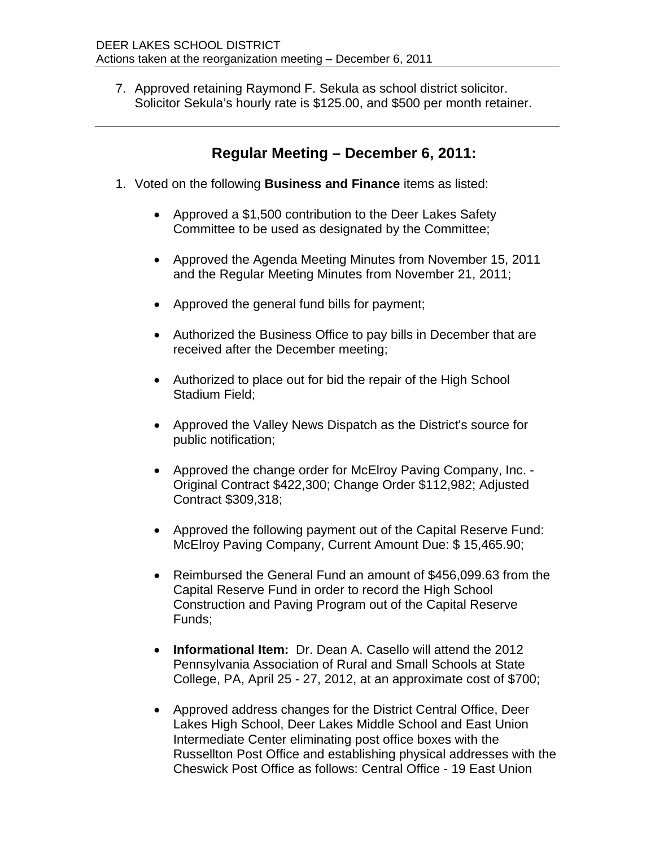7. Approved retaining Raymond F. Sekula as school district solicitor. Solicitor Sekula's hourly rate is \$125.00, and \$500 per month retainer.

## **Regular Meeting – December 6, 2011:**

- 1. Voted on the following **Business and Finance** items as listed:
	- Approved a \$1,500 contribution to the Deer Lakes Safety Committee to be used as designated by the Committee;
	- Approved the Agenda Meeting Minutes from November 15, 2011 and the Regular Meeting Minutes from November 21, 2011;
	- Approved the general fund bills for payment;
	- Authorized the Business Office to pay bills in December that are received after the December meeting;
	- Authorized to place out for bid the repair of the High School Stadium Field;
	- Approved the Valley News Dispatch as the District's source for public notification;
	- Approved the change order for McElroy Paving Company, Inc. -Original Contract \$422,300; Change Order \$112,982; Adjusted Contract \$309,318;
	- Approved the following payment out of the Capital Reserve Fund: McElroy Paving Company, Current Amount Due: \$ 15,465.90;
	- Reimbursed the General Fund an amount of \$456,099.63 from the Capital Reserve Fund in order to record the High School Construction and Paving Program out of the Capital Reserve Funds;
	- **Informational Item:** Dr. Dean A. Casello will attend the 2012 Pennsylvania Association of Rural and Small Schools at State College, PA, April 25 - 27, 2012, at an approximate cost of \$700;
	- Approved address changes for the District Central Office, Deer Lakes High School, Deer Lakes Middle School and East Union Intermediate Center eliminating post office boxes with the Russellton Post Office and establishing physical addresses with the Cheswick Post Office as follows: Central Office - 19 East Union